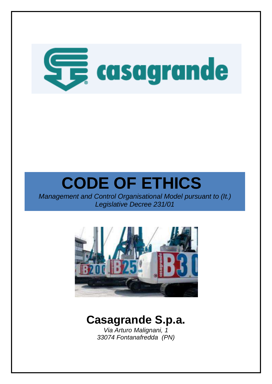

*Management and Control Organisational Model pursuant to (It.) Legislative Decree 231/01*



## **Casagrande S.p.a.**

*Via Arturo Malignani, 1 33074 Fontanafredda (PN)*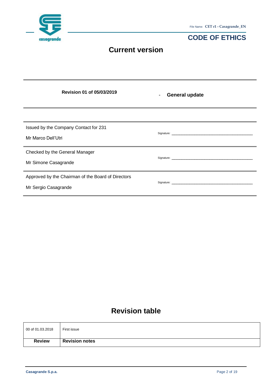| casagrande                                                  |                                                    | File Name: CET r1 - Casagrande_EN<br><b>CODE OF ETHICS</b> |
|-------------------------------------------------------------|----------------------------------------------------|------------------------------------------------------------|
|                                                             | <b>Current version</b>                             |                                                            |
|                                                             |                                                    |                                                            |
|                                                             | Revision 01 of 05/03/2019                          | <b>General update</b>                                      |
|                                                             |                                                    |                                                            |
| Issued by the Company Contact for 231<br>Mr Marco Dell'Utri |                                                    |                                                            |
| Checked by the General Manager<br>Mr Simone Casagrande      |                                                    |                                                            |
| Mr Sergio Casagrande                                        | Approved by the Chairman of the Board of Directors |                                                            |

### **Revision table**

| 00 of 01.03.2018 | First issue           |
|------------------|-----------------------|
| <b>Review</b>    | <b>Revision notes</b> |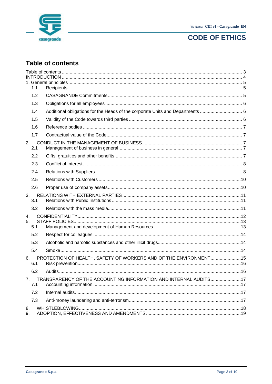



### <span id="page-2-0"></span>**Table of contents**

|                | 1.1       |                                                                                |  |
|----------------|-----------|--------------------------------------------------------------------------------|--|
|                | 1.2       |                                                                                |  |
|                | 1.3       |                                                                                |  |
|                | 1.4       | Additional obligations for the Heads of the corporate Units and Departments  6 |  |
|                | 1.5       |                                                                                |  |
|                | 1.6       |                                                                                |  |
|                | 1.7       |                                                                                |  |
| 2.             | 2.1       |                                                                                |  |
|                | 2.2       |                                                                                |  |
|                | 2.3       |                                                                                |  |
|                | 2.4       |                                                                                |  |
|                | 2.5       |                                                                                |  |
|                | 2.6       |                                                                                |  |
|                | 3.<br>3.1 |                                                                                |  |
|                | 3.2       |                                                                                |  |
| 4.<br>5.       | 5.1       |                                                                                |  |
|                | 5.2       |                                                                                |  |
|                | 5.3       |                                                                                |  |
|                | 5.4       |                                                                                |  |
| 6.             | 6.1       | PROTECTION OF HEALTH, SAFETY OF WORKERS AND OF THE ENVIRONMENT15               |  |
|                | 6.2       |                                                                                |  |
| 7 <sub>1</sub> | 7.1       | TRANSPARENCY OF THE ACCOUNTING INFORMATION AND INTERNAL AUDITS17               |  |
|                | 7.2       |                                                                                |  |
|                | 7.3       |                                                                                |  |
| 8.<br>9.       |           |                                                                                |  |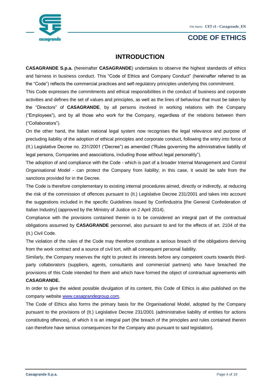

### **INTRODUCTION**

<span id="page-3-0"></span>**CASAGRANDE S.p.a.** (hereinafter **CASAGRANDE**) undertakes to observe the highest standards of ethics and fairness in business conduct. This "Code of Ethics and Company Conduct" (hereinafter referred to as the "Code") reflects the commercial practices and self-regulatory principles underlying this commitment.

This Code expresses the commitments and ethical responsibilities in the conduct of business and corporate activities and defines the set of values and principles, as well as the lines of behaviour that must be taken by the "Directors" of **CASAGRANDE**, by all persons involved in working relations with the Company ("Employees"), and by all those who work for the Company, regardless of the relations between them ("Collaborators").

On the other hand, the Italian national legal system now recognises the legal relevance and purpose of precluding liability of the adoption of ethical principles and corporate conduct, following the entry into force of (It.) Legislative Decree no. 231/2001 ("Decree") as amended ("Rules governing the administrative liability of legal persons, Companies and associations, including those without legal personality").

The adoption of and compliance with the Code - which is part of a broader Internal Management and Control Organisational Model - can protect the Company from liability; in this case, it would be safe from the sanctions provided for in the Decree.

The Code is therefore complementary to existing internal procedures aimed, directly or indirectly, at reducing the risk of the commission of offences pursuant to (It.) Legislative Decree 231/2001 and takes into account the suggestions included in the specific Guidelines issued by Confindustria [the General Confederation of Italian Industry] (approved by the Ministry of Justice on 2 April 2014).

Compliance with the provisions contained therein is to be considered an integral part of the contractual obligations assumed by **CASAGRANDE** personnel, also pursuant to and for the effects of art. 2104 of the (It.) Civil Code.

The violation of the rules of the Code may therefore constitute a serious breach of the obligations deriving from the work contract and a source of civil tort, with all consequent personal liability.

Similarly, the Company reserves the right to protect its interests before any competent courts towards thirdparty collaborators (suppliers, agents, consultants and commercial partners) who have breached the provisions of this Code intended for them and which have formed the object of contractual agreements with **CASAGRANDE.**

In order to give the widest possible divulgation of its content, this Code of Ethics is also published on the company websit[e www.casagrandegroup.com.](http://www.casagrandegroup.com/)

The Code of Ethics also forms the primary basis for the Organisational Model, adopted by the Company pursuant to the provisions of (It.) Legislative Decree 231/2001 (administrative liability of entities for actions constituting offences), of which it is an integral part (the breach of the principles and rules contained therein can therefore have serious consequences for the Company also pursuant to said legislation).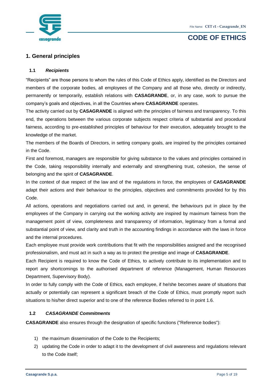

### <span id="page-4-0"></span>**1. General principles**

### <span id="page-4-1"></span>**1.1** *Recipients*

"Recipients" are those persons to whom the rules of this Code of Ethics apply, identified as the Directors and members of the corporate bodies, all employees of the Company and all those who, directly or indirectly, permanently or temporarily, establish relations with **CASAGRANDE**, or, in any case, work to pursue the company's goals and objectives, in all the Countries where **CASAGRANDE** operates.

The activity carried out by **CASAGRANDE** is aligned with the principles of fairness and transparency. To this end, the operations between the various corporate subjects respect criteria of substantial and procedural fairness, according to pre-established principles of behaviour for their execution, adequately brought to the knowledge of the market.

The members of the Boards of Directors, in setting company goals, are inspired by the principles contained in the Code.

First and foremost, managers are responsible for giving substance to the values and principles contained in the Code, taking responsibility internally and externally and strengthening trust, cohesion, the sense of belonging and the spirit of **CASAGRANDE**.

In the context of due respect of the law and of the regulations in force, the employees of **CASAGRANDE** adapt their actions and their behaviour to the principles, objectives and commitments provided for by this Code.

All actions, operations and negotiations carried out and, in general, the behaviours put in place by the employees of the Company in carrying out the working activity are inspired by maximum fairness from the management point of view, completeness and transparency of information, legitimacy from a formal and substantial point of view, and clarity and truth in the accounting findings in accordance with the laws in force and the internal procedures.

Each employee must provide work contributions that fit with the responsibilities assigned and the recognised professionalism, and must act in such a way as to protect the prestige and image of **CASAGRANDE**.

Each Recipient is required to know the Code of Ethics, to actively contribute to its implementation and to report any shortcomings to the authorised department of reference (Management, Human Resources Department, Supervisory Body).

In order to fully comply with the Code of Ethics, each employee, if he/she becomes aware of situations that actually or potentially can represent a significant breach of the Code of Ethics, must promptly report such situations to his/her direct superior and to one of the reference Bodies referred to in point 1.6.

### <span id="page-4-2"></span>**1.2** *CASAGRANDE Commitments*

**CASAGRANDE** also ensures through the designation of specific functions ("Reference bodies"):

- 1) the maximum dissemination of the Code to the Recipients;
- 2) updating the Code in order to adapt it to the development of civil awareness and regulations relevant to the Code itself;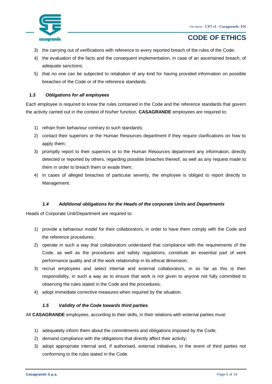

- 3) the carrying out of verifications with reference to every reported breach of the rules of the Code;
- 4) the evaluation of the facts and the consequent implementation, in case of an ascertained breach, of adequate sanctions;
- 5) that no one can be subjected to retaliation of any kind for having provided information on possible breaches of the Code or of the reference standards.

#### <span id="page-5-0"></span>**1.3** *Obligations for all employees*

Each employee is required to know the rules contained in the Code and the reference standards that govern the activity carried out in the context of his/her function. **CASAGRANDE** employees are required to:

- 1) refrain from behaviour contrary to such standards;
- 2) contact their superiors or the Human Resources department if they require clarifications on how to apply them;
- 3) promptly report to their superiors or to the Human Resources department any information, directly detected or reported by others, regarding possible breaches thereof, as well as any request made to them in order to breach them or evade them;
- 4) in cases of alleged breaches of particular severity, the employee is obliged to report directly to Management.

#### *1.4 Additional obligations for the Heads of the corporate Units and Departments*

<span id="page-5-1"></span>Heads of Corporate Unit/Department are required to:

- 1) provide a behaviour model for their collaborators, in order to have them comply with the Code and the reference procedures;
- 2) operate in such a way that collaborators understand that compliance with the requirements of the Code, as well as the procedures and safety regulations, constitute an essential part of work performance quality and of the work relationship in its ethical dimension;
- 3) recruit employees and select internal and external collaborators, in so far as this is their responsibility, in such a way as to ensure that work is not given to anyone not fully committed to observing the rules stated in the Code and the procedures;
- <span id="page-5-2"></span>4) adopt immediate corrective measures when required by the situation.

### *1.5 Validity of the Code towards third parties*

All **CASAGRANDE** employees, according to their skills, in their relations with external parties must:

- 1) adequately inform them about the commitments and obligations imposed by the Code;
- 2) demand compliance with the obligations that directly affect their activity;
- 3) adopt appropriate internal and, if authorised, external initiatives, in the event of third parties not conforming to the rules stated in the Code.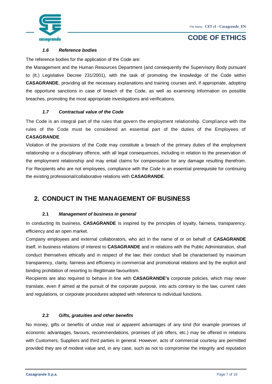

#### *1.6 Reference bodies*

<span id="page-6-0"></span>The reference bodies for the application of the Code are:

the Management and the Human Resources Department (and consequently the Supervisory Body pursuant to (It.) Legislative Decree 231/2001), with the task of promoting the knowledge of the Code within **CASAGRANDE**, providing all the necessary explanations and training courses and, if appropriate, adopting the opportune sanctions in case of breach of the Code, as well as examining information on possible breaches, promoting the most appropriate investigations and verifications.

#### *1.7 Contractual value of the Code*

<span id="page-6-1"></span>The Code is an integral part of the rules that govern the employment relationship. Compliance with the rules of the Code must be considered an essential part of the duties of the Employees of **CASAGRANDE**.

Violation of the provisions of the Code may constitute a breach of the primary duties of the employment relationship or a disciplinary offence, with all legal consequences, including in relation to the preservation of the employment relationship and may entail claims for compensation for any damage resulting therefrom. For Recipients who are not employees, compliance with the Code is an essential prerequisite for continuing the existing professional/collaborative relations with **CASAGRANDE**.

### <span id="page-6-2"></span>**2. CONDUCT IN THE MANAGEMENT OF BUSINESS**

### **2.1** *Management of business in general*

<span id="page-6-3"></span>In conducting its business, **CASAGRANDE** is inspired by the principles of loyalty, fairness, transparency, efficiency and an open market.

Company employees and external collaborators, who act in the name of or on behalf of **CASAGRANDE** itself, in business relations of interest to **CASAGRANDE** and in relations with the Public Administration, shall conduct themselves ethically and in respect of the law; their conduct shall be characterised by maximum transparency, clarity, fairness and efficiency in commercial and promotional relations and by the explicit and binding prohibition of resorting to illegitimate favouritism.

Recipients are also required to behave in line with **CASAGRANDE's** corporate policies, which may never translate, even if aimed at the pursuit of the corporate purpose, into acts contrary to the law, current rules and regulations, or corporate procedures adopted with reference to individual functions.

#### **2.2** *Gifts, gratuities and other benefits*

<span id="page-6-4"></span>No money, gifts or benefits of undue real or apparent advantages of any kind (for example promises of economic advantages, favours, recommendations, promises of job offers, etc.) may be offered in relations with Customers, Suppliers and third parties in general. However, acts of commercial courtesy are permitted provided they are of modest value and, in any case, such as not to compromise the integrity and reputation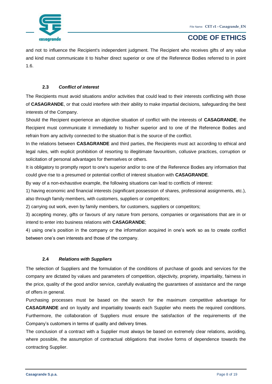

and not to influence the Recipient's independent judgment. The Recipient who receives gifts of any value and kind must communicate it to his/her direct superior or one of the Reference Bodies referred to in point 1.6.

### **2.3** *Conflict of interest*

<span id="page-7-0"></span>The Recipients must avoid situations and/or activities that could lead to their interests conflicting with those of **CASAGRANDE**, or that could interfere with their ability to make impartial decisions, safeguarding the best interests of the Company.

Should the Recipient experience an objective situation of conflict with the interests of **CASAGRANDE**, the Recipient must communicate it immediately to his/her superior and to one of the Reference Bodies and refrain from any activity connected to the situation that is the source of the conflict.

In the relations between **CASAGRANDE** and third parties, the Recipients must act according to ethical and legal rules, with explicit prohibition of resorting to illegitimate favouritism, collusive practices, corruption or solicitation of personal advantages for themselves or others.

It is obligatory to promptly report to one's superior and/or to one of the Reference Bodies any information that could give rise to a presumed or potential conflict of interest situation with **CASAGRANDE**.

By way of a non-exhaustive example, the following situations can lead to conflicts of interest:

1) having economic and financial interests (significant possession of shares, professional assignments, etc.), also through family members, with customers, suppliers or competitors;

2) carrying out work, even by family members, for customers, suppliers or competitors;

3) accepting money, gifts or favours of any nature from persons, companies or organisations that are in or intend to enter into business relations with **CASAGRANDE**;

4) using one's position in the company or the information acquired in one's work so as to create conflict between one's own interests and those of the company.

### **2.4** *Relations with Suppliers*

<span id="page-7-1"></span>The selection of Suppliers and the formulation of the conditions of purchase of goods and services for the company are dictated by values and parameters of competition, objectivity, propriety, impartiality, fairness in the price, quality of the good and/or service, carefully evaluating the guarantees of assistance and the range of offers in general.

Purchasing processes must be based on the search for the maximum competitive advantage for **CASAGRANDE** and on loyalty and impartiality towards each Supplier who meets the required conditions. Furthermore, the collaboration of Suppliers must ensure the satisfaction of the requirements of the Company's customers in terms of quality and delivery times.

The conclusion of a contract with a Supplier must always be based on extremely clear relations, avoiding, where possible, the assumption of contractual obligations that involve forms of dependence towards the contracting Supplier.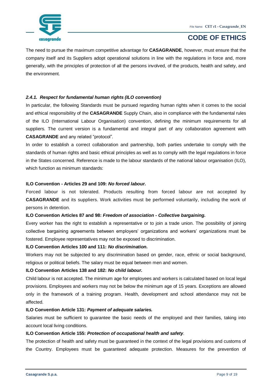

The need to pursue the maximum competitive advantage for **CASAGRANDE**, however, must ensure that the company itself and its Suppliers adopt operational solutions in line with the regulations in force and, more generally, with the principles of protection of all the persons involved, of the products, health and safety, and the environment.

### *2.4.1. Respect for fundamental human rights (ILO convention)*

In particular, the following Standards must be pursued regarding human rights when it comes to the social and ethical responsibility of the **CASAGRANDE** Supply Chain, also in compliance with the fundamental rules of the ILO (International Labour Organisation) convention, defining the minimum requirements for all suppliers. The current version is a fundamental and integral part of any collaboration agreement with **CASAGRANDE** and any related "protocol".

In order to establish a correct collaboration and partnership, both parties undertake to comply with the standards of human rights and basic ethical principles as well as to comply with the legal regulations in force in the States concerned. Reference is made to the labour standards of the national labour organisation (ILO), which function as minimum standards:

#### **ILO Convention - Articles 29 and 109:** *No forced labour.*

Forced labour is not tolerated. Products resulting from forced labour are not accepted by **CASAGRANDE** and its suppliers. Work activities must be performed voluntarily, including the work of persons in detention.

### **ILO Convention Articles 87 and 98:** *Freedom of association - Collective bargaining.*

Every worker has the right to establish a representative or to join a trade union. The possibility of joining collective bargaining agreements between employers' organizations and workers' organizations must be fostered. Employee representatives may not be exposed to discrimination.

#### **ILO Convention Articles 100 and 111:** *No discrimination.*

Workers may not be subjected to any discrimination based on gender, race, ethnic or social background, religious or political beliefs. The salary must be equal between men and women.

### **ILO Convention Articles 138 and 182:** *No child labour.*

Child labour is not accepted. The minimum age for employees and workers is calculated based on local legal provisions. Employees and workers may not be below the minimum age of 15 years. Exceptions are allowed only in the framework of a training program. Health, development and school attendance may not be affected.

#### **ILO Convention Article 131:** *Payment of adequate salaries.*

Salaries must be sufficient to guarantee the basic needs of the employed and their families, taking into account local living conditions.

### **ILO Convention Article 155:** *Protection of occupational health and safety.*

The protection of health and safety must be guaranteed in the context of the legal provisions and customs of the Country. Employees must be guaranteed adequate protection. Measures for the prevention of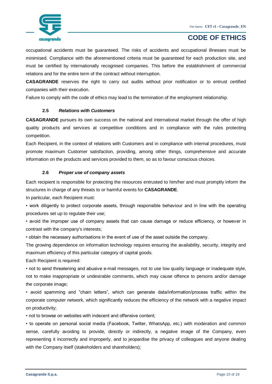

occupational accidents must be guaranteed. The risks of accidents and occupational illnesses must be minimised. Compliance with the aforementioned criteria must be guaranteed for each production site, and must be certified by internationally recognised companies. This before the establishment of commercial relations and for the entire term of the contract without interruption.

**CASAGRANDE** reserves the right to carry out audits without prior notification or to entrust certified companies with their execution.

<span id="page-9-0"></span>Failure to comply with the code of ethics may lead to the termination of the employment relationship.

#### **2.5** *Relations with Customers*

**CASAGRANDE** pursues its own success on the national and international market through the offer of high quality products and services at competitive conditions and in compliance with the rules protecting competition.

Each Recipient, in the context of relations with Customers and in compliance with internal procedures, must promote maximum Customer satisfaction, providing, among other things, comprehensive and accurate information on the products and services provided to them, so as to favour conscious choices.

#### **2.6** *Proper use of company assets*

<span id="page-9-1"></span>Each recipient is responsible for protecting the resources entrusted to him/her and must promptly inform the structures in charge of any threats to or harmful events for **CASAGRANDE**.

In particular, each Recipient must:

• work diligently to protect corporate assets, through responsible behaviour and in line with the operating procedures set up to regulate their use;

• avoid the improper use of company assets that can cause damage or reduce efficiency, or however in contrast with the company's interests;

• obtain the necessary authorisations in the event of use of the asset outside the company.

The growing dependence on information technology requires ensuring the availability, security, integrity and maximum efficiency of this particular category of capital goods.

Each Recipient is required:

• not to send threatening and abusive e-mail messages, not to use low quality language or inadequate style, not to make inappropriate or undesirable comments, which may cause offence to persons and/or damage the corporate image;

• avoid spamming and "chain letters", which can generate data/information/process traffic within the corporate computer network, which significantly reduces the efficiency of the network with a negative impact on productivity;

• not to browse on websites with indecent and offensive content;

• to operate on personal social media (Facebook, Twitter, WhatsApp, etc.) with moderation and common sense, carefully avoiding to provide, directly or indirectly, a negative image of the Company, even representing it incorrectly and improperly, and to jeopardise the privacy of colleagues and anyone dealing with the Company itself (stakeholders and shareholders);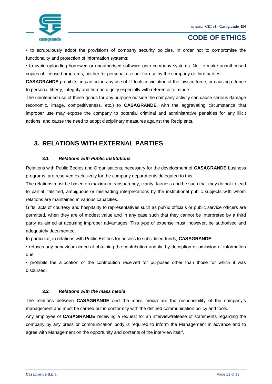

• to scrupulously adopt the provisions of company security policies, in order not to compromise the functionality and protection of information systems;

• to avoid uploading borrowed or unauthorised software onto company systems. Not to make unauthorised copies of licensed programs, neither for personal use nor for use by the company or third parties.

**CASAGRANDE** prohibits, in particular, any use of IT tools in violation of the laws in force, or causing offence to personal liberty, integrity and human dignity especially with reference to minors.

The unintended use of these goods for any purpose outside the company activity can cause serious damage (economic, image, competitiveness, etc.) to **CASAGRANDE**, with the aggravating circumstance that improper use may expose the company to potential criminal and administrative penalties for any illicit actions, and cause the need to adopt disciplinary measures against the Recipients.

### <span id="page-10-0"></span>**3. RELATIONS WITH EXTERNAL PARTIES**

### **3.1** *Relations with Public Institutions*

<span id="page-10-1"></span>Relations with Public Bodies and Organisations, necessary for the development of **CASAGRANDE** business programs, are reserved exclusively for the company departments delegated to this.

The relations must be based on maximum transparency, clarity, fairness and be such that they do not to lead to partial, falsified, ambiguous or misleading interpretations by the institutional public subjects with whom relations are maintained in various capacities.

Gifts, acts of courtesy and hospitality to representatives such as public officials or public service officers are permitted, when they are of modest value and in any case such that they cannot be interpreted by a third party as aimed at acquiring improper advantages. This type of expense must, however, be authorised and adequately documented.

In particular, in relations with Public Entities for access to subsidised funds, **CASAGRANDE**:

• refuses any behaviour aimed at obtaining the contribution unduly, by deception or omission of information due;

• prohibits the allocation of the contribution received for purposes other than those for which it was disbursed.

#### **3.2** *Relations with the mass media*

<span id="page-10-2"></span>The relations between **CASAGRANDE** and the mass media are the responsibility of the company's management and must be carried out in conformity with the defined communication policy and tools.

Any employee of **CASAGRANDE** receiving a request for an interview/release of statements regarding the company by any press or communication body is required to inform the Management in advance and to agree with Management on the opportunity and contents of the interview itself.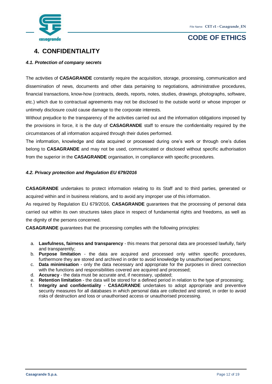



### <span id="page-11-0"></span>**4. CONFIDENTIALITY**

### *4.1. Protection of company secrets*

The activities of **CASAGRANDE** constantly require the acquisition, storage, processing, communication and dissemination of news, documents and other data pertaining to negotiations, administrative procedures, financial transactions, know-how (contracts, deeds, reports, notes, studies, drawings, photographs, software, etc.) which due to contractual agreements may not be disclosed to the outside world or whose improper or untimely disclosure could cause damage to the corporate interests.

Without prejudice to the transparency of the activities carried out and the information obligations imposed by the provisions in force, it is the duty of **CASAGRANDE** staff to ensure the confidentiality required by the circumstances of all information acquired through their duties performed.

The information, knowledge and data acquired or processed during one's work or through one's duties belong to **CASAGRANDE** and may not be used, communicated or disclosed without specific authorisation from the superior in the **CASAGRANDE** organisation, in compliance with specific procedures.

### *4.2. Privacy protection and Regulation EU 679/2016*

**CASAGRANDE** undertakes to protect information relating to its Staff and to third parties, generated or acquired within and in business relations, and to avoid any improper use of this information.

As required by Regulation EU 679/2016, **CASAGRANDE** guarantees that the processing of personal data carried out within its own structures takes place in respect of fundamental rights and freedoms, as well as the dignity of the persons concerned.

**CASAGRANDE** guarantees that the processing complies with the following principles:

- a. **Lawfulness, fairness and transparency** this means that personal data are processed lawfully, fairly and transparently;
- b. **Purpose limitation** the data are acquired and processed only within specific procedures, furthermore they are stored and archived in order to avoid knowledge by unauthorised persons;
- c. **Data minimisation**  only the data necessary and appropriate for the purposes in direct connection with the functions and responsibilities covered are acquired and processed;
- d. **Accuracy**  the data must be accurate and, if necessary, updated;
- e. **Retention limitation** the data will be stored for a defined period in relation to the type of processing;
- f. **Integrity and confidentiality CASAGRANDE** undertakes to adopt appropriate and preventive security measures for all databases in which personal data are collected and stored, in order to avoid risks of destruction and loss or unauthorised access or unauthorised processing.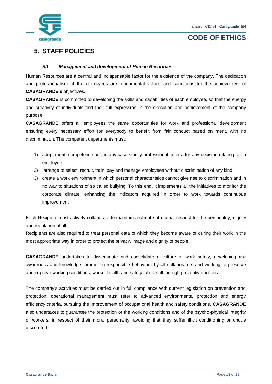

### <span id="page-12-0"></span>**5. STAFF POLICIES**

#### **5.1** *Management and development of Human Resources*

<span id="page-12-1"></span>Human Resources are a central and indispensable factor for the existence of the company. The dedication and professionalism of the employees are fundamental values and conditions for the achievement of **CASAGRANDE's** objectives.

**CASAGRANDE** is committed to developing the skills and capabilities of each employee, so that the energy and creativity of individuals find their full expression in the execution and achievement of the company purpose.

**CASAGRANDE** offers all employees the same opportunities for work and professional development ensuring every necessary effort for everybody to benefit from fair conduct based on merit, with no discrimination. The competent departments must:

- 1) adopt merit, competence and in any case strictly professional criteria for any decision relating to an employee;
- 2) arrange to select, recruit, train, pay and manage employees without discrimination of any kind;
- 3) create a work environment in which personal characteristics cannot give rise to discrimination and in no way to situations of so called bullying. To this end, it implements all the initiatives to monitor the corporate climate, enhancing the indicators acquired in order to work towards continuous improvement.

Each Recipient must actively collaborate to maintain a climate of mutual respect for the personality, dignity and reputation of all.

Recipients are also required to treat personal data of which they become aware of during their work in the most appropriate way in order to protect the privacy, image and dignity of people.

**CASAGRANDE** undertakes to disseminate and consolidate a culture of work safety, developing risk awareness and knowledge, promoting responsible behaviour by all collaborators and working to preserve and improve working conditions, worker health and safety, above all through preventive actions.

The company's activities must be carried out in full compliance with current legislation on prevention and protection; operational management must refer to advanced environmental protection and energy efficiency criteria, pursuing the improvement of occupational health and safety conditions. **CASAGRANDE** also undertakes to guarantee the protection of the working conditions and of the psycho-physical integrity of workers, in respect of their moral personality, avoiding that they suffer illicit conditioning or undue discomfort.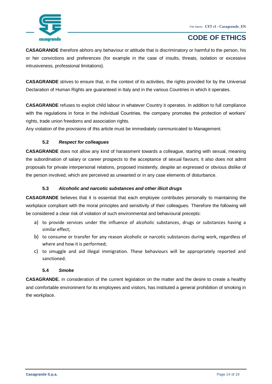

**CASAGRANDE** therefore abhors any behaviour or attitude that is discriminatory or harmful to the person, his or her convictions and preferences (for example in the case of insults, threats, isolation or excessive intrusiveness, professional limitations).

**CASAGRANDE** strives to ensure that, in the context of its activities, the rights provided for by the Universal Declaration of Human Rights are guaranteed in Italy and in the various Countries in which it operates.

**CASAGRANDE** refuses to exploit child labour in whatever Country it operates. In addition to full compliance with the regulations in force in the individual Countries, the company promotes the protection of workers' rights, trade union freedoms and association rights.

<span id="page-13-0"></span>Any violation of the provisions of this article must be immediately communicated to Management.

### **5.2** *Respect for colleagues*

**CASAGRANDE** does not allow any kind of harassment towards a colleague, starting with sexual, meaning the subordination of salary or career prospects to the acceptance of sexual favours; it also does not admit proposals for private interpersonal relations, proposed insistently, despite an expressed or obvious dislike of the person involved, which are perceived as unwanted or in any case elements of disturbance.

### **5.3** *Alcoholic and narcotic substances and other illicit drugs*

<span id="page-13-1"></span>**CASAGRANDE** believes that it is essential that each employee contributes personally to maintaining the workplace compliant with the moral principles and sensitivity of their colleagues. Therefore the following will be considered a clear risk of violation of such environmental and behavioural precepts:

- a) to provide services under the influence of alcoholic substances, drugs or substances having a similar effect;
- b) to consume or transfer for any reason alcoholic or narcotic substances during work, regardless of where and how it is performed;
- c) to smuggle and aid illegal immigration. These behaviours will be appropriately reported and sanctioned.

### **5.4** *Smoke*

<span id="page-13-2"></span>**CASAGRANDE**, in consideration of the current legislation on the matter and the desire to create a healthy and comfortable environment for its employees and visitors, has instituted a general prohibition of smoking in the workplace.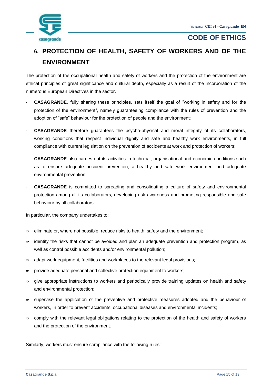

### <span id="page-14-0"></span>**6. PROTECTION OF HEALTH, SAFETY OF WORKERS AND OF THE ENVIRONMENT**

The protection of the occupational health and safety of workers and the protection of the environment are ethical principles of great significance and cultural depth, especially as a result of the incorporation of the numerous European Directives in the sector.

- **CASAGRANDE**, fully sharing these principles, sets itself the goal of "working in safety and for the protection of the environment", namely guaranteeing compliance with the rules of prevention and the adoption of "safe" behaviour for the protection of people and the environment;
- **CASAGRANDE** therefore guarantees the psycho-physical and moral integrity of its collaborators, working conditions that respect individual dignity and safe and healthy work environments, in full compliance with current legislation on the prevention of accidents at work and protection of workers;
- **CASAGRANDE** also carries out its activities in technical, organisational and economic conditions such as to ensure adequate accident prevention, a healthy and safe work environment and adequate environmental prevention;
- **CASAGRANDE** is committed to spreading and consolidating a culture of safety and environmental protection among all its collaborators, developing risk awareness and promoting responsible and safe behaviour by all collaborators.

In particular, the company undertakes to:

- $\Rightarrow$  eliminate or, where not possible, reduce risks to health, safety and the environment;
- $\Rightarrow$  identify the risks that cannot be avoided and plan an adequate prevention and protection program, as well as control possible accidents and/or environmental pollution;
- $\Rightarrow$  adapt work equipment, facilities and workplaces to the relevant legal provisions;
- $\Rightarrow$  provide adequate personal and collective protection equipment to workers;
- $\Rightarrow$  give appropriate instructions to workers and periodically provide training updates on health and safety and environmental protection;
- $\Rightarrow$  supervise the application of the preventive and protective measures adopted and the behaviour of workers, in order to prevent accidents, occupational diseases and environmental incidents;
- $\Rightarrow$  comply with the relevant legal obligations relating to the protection of the health and safety of workers and the protection of the environment.

Similarly, workers must ensure compliance with the following rules: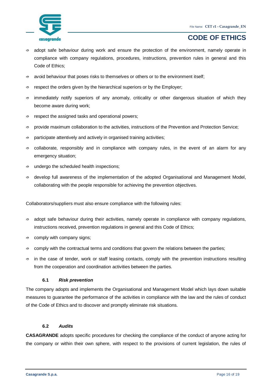

- $\Rightarrow$  adopt safe behaviour during work and ensure the protection of the environment, namely operate in compliance with company regulations, procedures, instructions, prevention rules in general and this Code of Ethics;
- $\Rightarrow$  avoid behaviour that poses risks to themselves or others or to the environment itself;
- $\Rightarrow$  respect the orders given by the hierarchical superiors or by the Employer;
- $\Rightarrow$  immediately notify superiors of any anomaly, criticality or other dangerous situation of which they become aware during work;
- $\Rightarrow$  respect the assigned tasks and operational powers;
- $\Rightarrow$  provide maximum collaboration to the activities, instructions of the Prevention and Protection Service;
- $\Rightarrow$  participate attentively and actively in organised training activities;
- $\Rightarrow$  collaborate, responsibly and in compliance with company rules, in the event of an alarm for any emergency situation;
- $\Rightarrow$  undergo the scheduled health inspections;
- $\Rightarrow$  develop full awareness of the implementation of the adopted Organisational and Management Model, collaborating with the people responsible for achieving the prevention objectives.

Collaborators/suppliers must also ensure compliance with the following rules:

- $\Rightarrow$  adopt safe behaviour during their activities, namely operate in compliance with company regulations, instructions received, prevention regulations in general and this Code of Ethics;
- $\Rightarrow$  comply with company signs;
- $\Rightarrow$  comply with the contractual terms and conditions that govern the relations between the parties;
- $\Rightarrow$  in the case of tender, work or staff leasing contacts, comply with the prevention instructions resulting from the cooperation and coordination activities between the parties.

#### **6.1** *Risk prevention*

<span id="page-15-0"></span>The company adopts and implements the Organisational and Management Model which lays down suitable measures to guarantee the performance of the activities in compliance with the law and the rules of conduct of the Code of Ethics and to discover and promptly eliminate risk situations.

#### **6.2** *Audits*

<span id="page-15-1"></span>**CASAGRANDE** adopts specific procedures for checking the compliance of the conduct of anyone acting for the company or within their own sphere, with respect to the provisions of current legislation, the rules of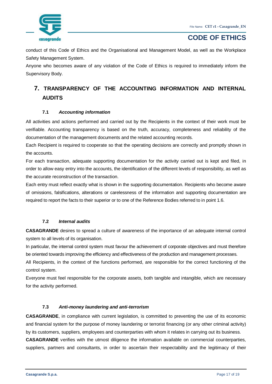

conduct of this Code of Ethics and the Organisational and Management Model, as well as the Workplace Safety Management System.

Anyone who becomes aware of any violation of the Code of Ethics is required to immediately inform the Supervisory Body.

### <span id="page-16-0"></span>**7. TRANSPARENCY OF THE ACCOUNTING INFORMATION AND INTERNAL AUDITS**

### **7.1** *Accounting information*

<span id="page-16-1"></span>All activities and actions performed and carried out by the Recipients in the context of their work must be verifiable. Accounting transparency is based on the truth, accuracy, completeness and reliability of the documentation of the management documents and the related accounting records.

Each Recipient is required to cooperate so that the operating decisions are correctly and promptly shown in the accounts.

For each transaction, adequate supporting documentation for the activity carried out is kept and filed, in order to allow easy entry into the accounts, the identification of the different levels of responsibility, as well as the accurate reconstruction of the transaction.

Each entry must reflect exactly what is shown in the supporting documentation. Recipients who become aware of omissions, falsifications, alterations or carelessness of the information and supporting documentation are required to report the facts to their superior or to one of the Reference Bodies referred to in point 1.6.

### **7.2** *Internal audits*

<span id="page-16-2"></span>**CASAGRANDE** desires to spread a culture of awareness of the importance of an adequate internal control system to all levels of its organisation.

In particular, the internal control system must favour the achievement of corporate objectives and must therefore be oriented towards improving the efficiency and effectiveness of the production and management processes.

All Recipients, in the context of the functions performed, are responsible for the correct functioning of the control system.

Everyone must feel responsible for the corporate assets, both tangible and intangible, which are necessary for the activity performed.

### **7.3** *Anti-money laundering and anti-terrorism*

<span id="page-16-3"></span>**CASAGRANDE**, in compliance with current legislation, is committed to preventing the use of its economic and financial system for the purpose of money laundering or terrorist financing (or any other criminal activity) by its customers, suppliers, employees and counterparties with whom it relates in carrying out its business. **CASAGRANDE** verifies with the utmost diligence the information available on commercial counterparties, suppliers, partners and consultants, in order to ascertain their respectability and the legitimacy of their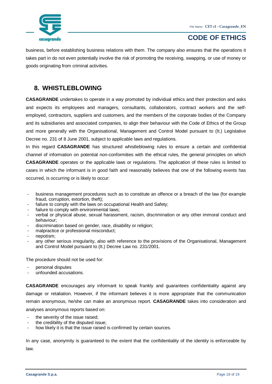

business, before establishing business relations with them. The company also ensures that the operations it takes part in do not even potentially involve the risk of promoting the receiving, swapping, or use of money or goods originating from criminal activities.

### <span id="page-17-0"></span>**8. WHISTLEBLOWING**

**CASAGRANDE** undertakes to operate in a way promoted by individual ethics and their protection and asks and expects its employees and managers, consultants, collaborators, contract workers and the selfemployed, contractors, suppliers and customers, and the members of the corporate bodies of the Company and its subsidiaries and associated companies, to align their behaviour with the Code of Ethics of the Group and more generally with the Organisational, Management and Control Model pursuant to (It.) Legislative Decree no. 231 of 8 June 2001, subject to applicable laws and regulations.

In this regard **CASAGRANDE** has structured whistleblowing rules to ensure a certain and confidential channel of information on potential non-conformities with the ethical rules, the general principles on which **CASAGRANDE** operates or the applicable laws or regulations. The application of these rules is limited to cases in which the informant is in good faith and reasonably believes that one of the following events has occurred, is occurring or is likely to occur:

- business management procedures such as to constitute an offence or a breach of the law (for example fraud, corruption, extortion, theft);
- failure to comply with the laws on occupational Health and Safety;
- failure to comply with environmental laws;
- verbal or physical abuse, sexual harassment, racism, discrimination or any other immoral conduct and behaviour;
- discrimination based on gender, race, disability or religion;
- malpractice or professional misconduct;
- nepotism;
- any other serious irregularity, also with reference to the provisions of the Organisational, Management and Control Model pursuant to (It.) Decree Law no. 231/2001.

The procedure should not be used for:

- personal disputes
- unfounded accusations.

**CASAGRANDE** encourages any informant to speak frankly and guarantees confidentiality against any damage or retaliation. However, if the informant believes it is more appropriate that the communication remain anonymous, he/she can make an anonymous report. **CASAGRANDE** takes into consideration and analyses anonymous reports based on:

- the severity of the issue raised:
- the credibility of the disputed issue;
- how likely it is that the issue raised is confirmed by certain sources.

In any case, anonymity is guaranteed to the extent that the confidentiality of the identity is enforceable by law.